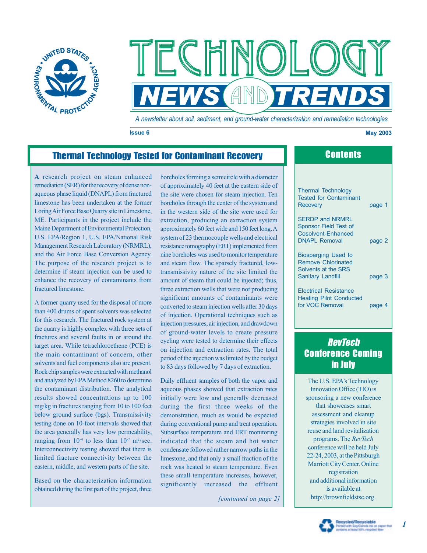



*A newsletter about soil, sediment, and ground-water characterization and remediation technologies*

**Issue 6 May 2003** 

## Thermal Technology Tested for Contaminant Recovery **Contents**

**A** research project on steam enhanced remediation (SER) for the recovery of dense nonaqueous phase liquid (DNAPL) from fractured limestone has been undertaken at the former Loring Air Force Base Quarry site in Limestone, ME. Participants in the project include the Maine Department of Environmental Protection, U.S. EPA/Region 1, U.S. EPA/National Risk Management Research Laboratory (NRMRL), and the Air Force Base Conversion Agency. The purpose of the research project is to determine if steam injection can be used to enhance the recovery of contaminants from fractured limestone.

A former quarry used for the disposal of more than 400 drums of spent solvents was selected for this research. The fractured rock system at the quarry is highly complex with three sets of fractures and several faults in or around the target area. While tetrachloroethene (PCE) is the main contaminant of concern, other solvents and fuel components also are present. Rock chip samples were extracted with methanol and analyzed by EPA Method 8260 to determine the contaminant distribution. The analytical results showed concentrations up to 100 mg/kg in fractures ranging from 10 to 100 feet below ground surface (bgs). Transmissivity testing done on 10-foot intervals showed that the area generally has very low permeability, ranging from  $10^{-4}$  to less than  $10^{-7}$  m<sup>2</sup>/sec. Interconnectivity testing showed that there is limited fracture connectivity between the eastern, middle, and western parts of the site.

Based on the characterization information obtained during the first part of the project, three

boreholes forming a semicircle with a diameter of approximately 40 feet at the eastern side of the site were chosen for steam injection. Ten boreholes through the center of the system and in the western side of the site were used for extraction, producing an extraction system approximately 60 feet wide and 150 feet long.A system of 23 thermocouple wells and electrical resistance tomography (ERT) implemented from nine boreholes was used to monitor temperature and steam flow. The sparsely fractured, lowtransmissivity nature of the site limited the amount of steam that could be injected; thus, three extraction wells that were not producing significant amounts of contaminants were converted to steam injection wells after 30 days of injection. Operational techniques such as injection pressures, air injection, and drawdown of ground-water levels to create pressure cycling were tested to determine their effects on injection and extraction rates. The total period of the injection was limited by the budget to 83 days followed by 7 days of extraction.

Daily effluent samples of both the vapor and aqueous phases showed that extraction rates initially were low and generally decreased during the first three weeks of the demonstration, much as would be expected during conventional pump and treat operation. Subsurface temperature and ERT monitoring indicated that the steam and hot water condensate followed rather narrow paths in the limestone, and that only a small fraction of the rock was heated to steam temperature. Even these small temperature increases, however, significantly increased the effluent

*[continued on page 2]* 

|  | <b>Thermal Technology</b><br><b>Tested for Contaminant</b><br><b>Recovery</b>                       | page 1 |
|--|-----------------------------------------------------------------------------------------------------|--------|
|  | <b>SERDP and NRMRL</b><br>Sponsor Field Test of<br>Cosolvent-Enhanced<br><b>DNAPL Removal</b>       | page 2 |
|  | <b>Biosparging Used to</b><br>Remove Chlorinated<br>Solvents at the SRS<br><b>Sanitary Landfill</b> | page 3 |
|  | <b>Electrical Resistance</b><br><b>Heating Pilot Conducted</b><br>for VOC Removal                   | page 4 |

## **RevTech** Conference Coming in July

The U.S. EPA's Technology Innovation Office (TIO) is sponsoring a new conference that showcases smart assessment and cleanup strategies involved in site reuse and land revitalization programs. The *RevTech*  conference will be held July 22-24, 2003, at the Pittsburgh Marriott City Center. Online registration and additional information is available at [http://brownfieldstsc.org.](http://brownfieldstsc.org)



*1*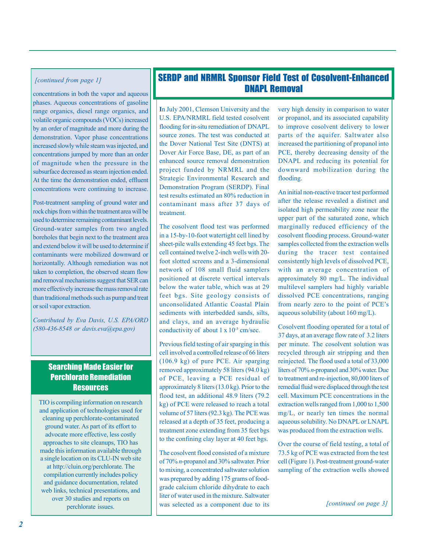#### *[continued from page 1]*

concentrations in both the vapor and aqueous phases. Aqueous concentrations of gasoline range organics, diesel range organics, and volatile organic compounds (VOCs) increased by an order of magnitude and more during the demonstration. Vapor phase concentrations increased slowly while steam was injected, and concentrations jumped by more than an order of magnitude when the pressure in the subsurface decreased as steam injection ended. At the time the demonstration ended, effluent concentrations were continuing to increase.

Post-treatment sampling of ground water and rock chips from within the treatment area will be used to determine remaining contaminant levels. Ground-water samples from two angled boreholes that begin next to the treatment area and extend below it will be used to determine if contaminants were mobilized downward or horizontally. Although remediation was not taken to completion, the observed steam flow and removal mechanisms suggest that SER can more effectively increase the mass removal rate than traditional methods such as pump and treat or soil vapor extraction.

*Contributed by Eva Davis, U.S. EPA/ORD (580-436-8548 or davis.eva@epa.gov)* 

### Searching Made Easier for Perchlorate Remediation **Resources**

TIO is compiling information on research and application of technologies used for cleaning up perchlorate-contaminated ground water. As part of its effort to advocate more effective, less costly approaches to site cleanups, TIO has made this information available through a single location on its CLU-IN web site at [http://cluin.org/perchlorate.](http://cluin.org/perchlorate) The compilation currently includes policy and guidance documentation, related web links, technical presentations, and over 30 studies and reports on

## SERDP and NRMRL Sponsor Field Test of Cosolvent-Enhanced DNAPL Removal

**I**n July 2001, Clemson University and the U.S. EPA/NRMRL field tested cosolvent flooding for in-situ remediation of DNAPL source zones. The test was conducted at the Dover National Test Site (DNTS) at Dover Air Force Base, DE, as part of an enhanced source removal demonstration project funded by NRMRL and the Strategic Environmental Research and Demonstration Program (SERDP). Final test results estimated an 80% reduction in contaminant mass after 37 days of treatment.

The cosolvent flood test was performed in a 15-by-10-foot watertight cell lined by sheet-pile walls extending 45 feet bgs. The cell contained twelve 2-inch wells with 20 foot slotted screens and a 3-dimensional network of 108 small fluid samplers positioned at discrete vertical intervals below the water table, which was at 29 feet bgs. Site geology consists of unconsolidated Atlantic Coastal Plain sediments with interbedded sands, silts, and clays, and an average hydraulic conductivity of about  $1 \times 10^{-3}$  cm/sec.

Previous field testing of air sparging in this cell involved a controlled release of 66 liters (106.9 kg) of pure PCE. Air sparging removed approximately 58 liters (94.0 kg) of PCE, leaving a PCE residual of approximately 8 liters (13.0 kg). Prior to the flood test, an additional 48.9 liters (79.2 kg) of PCE were released to reach a total volume of 57 liters (92.3 kg). The PCE was released at a depth of 35 feet, producing a treatment zone extending from 35 feet bgs to the confining clay layer at 40 feet bgs.

perchlorate issues.<br> **a** *perchlorate issues. issues. issues. issues. issues. issues. issues. issues. issues. issues. issues. issues. issues. issues. issues. iss* The cosolvent flood consisted of a mixture of 70% *n*-propanol and 30% saltwater. Prior to mixing, a concentrated saltwater solution was prepared by adding 175 grams of foodgrade calcium chloride dihydrate to each liter of water used in the mixture. Saltwater

very high density in comparison to water or propanol, and its associated capability to improve cosolvent delivery to lower parts of the aquifer. Saltwater also increased the partitioning of propanol into PCE, thereby decreasing density of the DNAPL and reducing its potential for downward mobilization during the flooding.

An initial non-reactive tracer test performed after the release revealed a distinct and isolated high permeability zone near the upper part of the saturated zone, which marginally reduced efficiency of the cosolvent flooding process. Ground-water samples collected from the extraction wells during the tracer test contained consistently high levels of dissolved PCE, with an average concentration of approximately 80 mg/L. The individual multilevel samplers had highly variable dissolved PCE concentrations, ranging from nearly zero to the point of PCE's aqueous solubility (about 160 mg/L).

Cosolvent flooding operated for a total of 37 days, at an average flow rate of 3.2 liters per minute. The cosolvent solution was recycled through air stripping and then reinjected. The flood used a total of 33,000 liters of 70% *n*-propanol and 30% water. Due to treatment and re-injection, 80,000 liters of remedial fluid were displaced through the test cell. Maximum PCE concentrations in the extraction wells ranged from 1,000 to 1,500 mg/L, or nearly ten times the normal aqueous solubility. No DNAPL or LNAPL was produced from the extraction wells.

Over the course of field testing, a total of 73.5 kg of PCE was extracted from the test cell (Figure 1). Post-treatment ground-water sampling of the extraction wells showed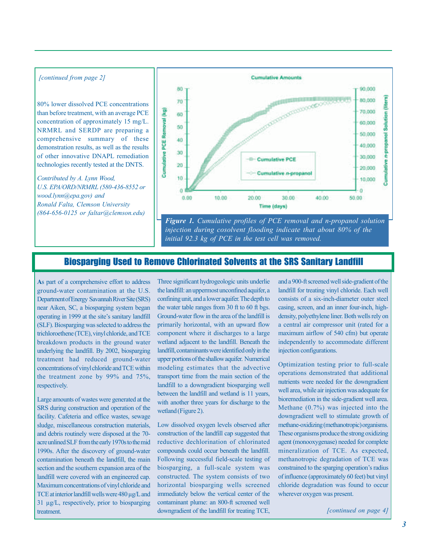#### *[continued from page 2]*

80% lower dissolved PCE concentrations than before treatment, with an average PCE concentration of approximately 15 mg/L. NRMRL and SERDP are preparing a comprehensive summary of these demonstration results, as well as the results of other innovative DNAPL remediation technologies recently tested at the DNTS.

*Contributed by A. Lynn Wood, U.S. EPA/ORD/NRMRL (580-436-8552 or wood.lynn@epa.gov) and Ronald Falta, Clemson University (864-656-0125 or faltar@clemson.edu)*



*Figure 1. Cumulative profiles of PCE removal and n-propanol solution injection during cosolvent flooding indicate that about 80% of the initial 92.3 kg of PCE in the test cell was removed.* 

## Biosparging Used to Remove Chlorinated Solvents at the SRS Sanitary Landfill

**A**s part of a comprehensive effort to address ground-water contamination at the U.S. Department of Energy Savannah River Site (SRS) near Aiken, SC, a biosparging system began operating in 1999 at the site's sanitary landfill (SLF). Biosparging was selected to address the trichloroethene (TCE), vinyl chloride, and TCE breakdown products in the ground water underlying the landfill. By 2002, biosparging treatment had reduced ground-water concentrations of vinyl chloride and TCE within the treatment zone by 99% and 75%, respectively.

Large amounts of wastes were generated at the SRS during construction and operation of the facility. Cafeteria and office wastes, sewage sludge, miscellaneous construction materials, and debris routinely were disposed at the 70 acre unlined SLF from the early 1970s to the mid 1990s. After the discovery of ground-water contamination beneath the landfill, the main section and the southern expansion area of the landfill were covered with an engineered cap. Maximum concentrations of vinyl chloride and TCE at interior landfill wells were 480 ug/L and 31 µg/L, respectively, prior to biosparging **treatment** 

Three significant hydrogeologic units underlie the landfill: an uppermost unconfined aquifer, a confining unit, and a lower aquifer. The depth to the water table ranges from 30 ft to 60 ft bgs. Ground-water flow in the area of the landfill is primarily horizontal, with an upward flow component where it discharges to a large wetland adjacent to the landfill. Beneath the landfill, contaminants were identified only in the upper portions of the shallow aquifer. Numerical modeling estimates that the advective transport time from the main section of the landfill to a downgradient biosparging well between the landfill and wetland is 11 years, with another three years for discharge to the wetland (Figure 2).

Low dissolved oxygen levels observed after construction of the landfill cap suggested that reductive dechlorination of chlorinated compounds could occur beneath the landfill. Following successful field-scale testing of biosparging, a full-scale system was constructed. The system consists of two horizontal biosparging wells screened immediately below the vertical center of the contaminant plume: an 800-ft screened well downgradient of the landfill for treating TCE,

and a 900-ft screened well side-gradient of the landfill for treating vinyl chloride. Each well consists of a six-inch-diameter outer steel casing, screen, and an inner four-inch, highdensity, polyethylene liner. Both wells rely on a central air compressor unit (rated for a maximum airflow of 540 cfm) but operate independently to accommodate different injection configurations.

Optimization testing prior to full-scale operations demonstrated that additional nutrients were needed for the downgradient well area, while air injection was adequate for bioremediation in the side-gradient well area. Methane (0.7%) was injected into the downgradient well to stimulate growth of methane-oxidizing (methanotropic) organisms. These organisms produce the strong oxidizing agent (monooxygenase) needed for complete mineralization of TCE. As expected, methanotropic degradation of TCE was constrained to the sparging operation's radius of influence (approximately 60 feet) but vinyl chloride degradation was found to occur wherever oxygen was present.

*[continued on page 4]*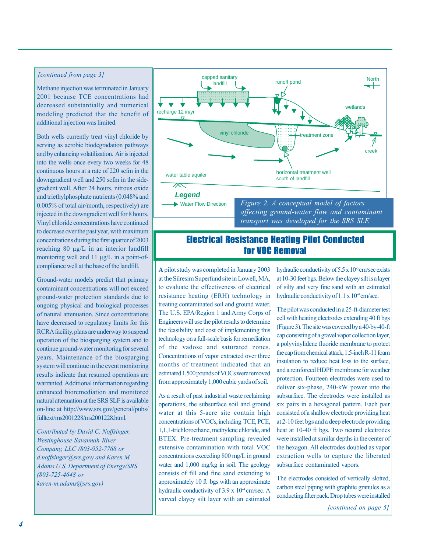#### *[continued from page 3]*

Methane injection was terminated in January 2001 because TCE concentrations had decreased substantially and numerical modeling predicted that the benefit of additional injection was limited.

Both wells currently treat vinyl chloride by serving as aerobic biodegradation pathways and by enhancing volatilization. Air is injected into the wells once every two weeks for 48 continuous hours at a rate of 220 scfm in the downgradient well and 250 scfm in the sidegradient well. After 24 hours, nitrous oxide and triethylphosphate nutrients (0.048% and 0.005% of total air/month, respectively) are injected in the downgradient well for 8 hours. Vinyl chloride concentrations have continued to decrease over the past year, with maximum concentrations during the first quarter of 2003 reaching 80 µg/L in an interior landfill monitoring well and 11  $\mu$ g/L in a point-ofcompliance well at the base of the landfill.

Ground-water models predict that primary contaminant concentrations will not exceed ground-water protection standards due to ongoing physical and biological processes of natural attenuation. Since concentrations have decreased to regulatory limits for this RCRA facility, plans are underway to suspend operation of the biosparging system and to continue ground-water monitoring for several years. Maintenance of the biosparging system will continue in the event monitoring results indicate that resumed operations are warranted. Additional information regarding enhanced bioremediation and monitored natural attenuation at the SRS SLF is available on-line at <http://www.srs.gov/general/pubs/> fulltext/ms2001228/ms2001228.html.

*Contributed by David C. Noffsinger, Westinghouse Savannah River Company, LLC (803-952-7768 or d.noffsinger@srs.gov) and Karen M. Adams U.S. Department of Energy/SRS (803-725-4648 or karen-m.adams@srs.gov)* 



## Electrical Resistance Heating Pilot Conducted for VOC Removal

**A** pilot study was completed in January 2003 at the Silresim Superfund site in Lowell, MA, to evaluate the effectiveness of electrical resistance heating (ERH) technology in treating contaminated soil and ground water. The U.S. EPA/Region 1 and Army Corps of Engineers will use the pilot results to determine the feasibility and cost of implementing this technology on a full-scale basis for remediation of the vadose and saturated zones. Concentrations of vapor extracted over three months of treatment indicated that an estimated 1,500 pounds of VOCs were removed from approximately 1,000 cubic yards of soil.

As a result of past industrial waste reclaiming operations, the subsurface soil and ground water at this 5-acre site contain high concentrations of VOCs, including TCE, PCE, 1,1,1-trichloroethane, methylene chloride, and BTEX. Pre-treatment sampling revealed extensive contamination with total VOC concentrations exceeding 800 mg/L in ground water and 1,000 mg/kg in soil. The geology consists of fill and fine sand extending to approximately 10 ft bgs with an approximate hydraulic conductivity of  $3.9 \times 10^{-4}$  cm/sec. A varved clayey silt layer with an estimated

hydraulic conductivity of  $5.5 \times 10^{-5}$  cm/sec exists at 10-30 feet bgs. Below the clayey silt is a layer of silty and very fine sand with an estimated hydraulic conductivity of  $1.1 \times 10^{-4}$  cm/sec.

The pilot was conducted in a 25-ft-diameter test cell with heating electrodes extending 40 ft bgs (Figure 3). The site was covered by a 40-by-40-ft cap consisting of a gravel vapor collection layer, a polyvinylidene fluoride membrane to protect the cap from chemical attack, 1.5-inch R-11 foam insulation to reduce heat loss to the surface, and a reinforced HDPE membrane for weather protection. Fourteen electrodes were used to deliver six-phase, 240-kW power into the subsurface. The electrodes were installed as six pairs in a hexagonal pattern. Each pair consisted of a shallow electrode providing heat at 2-10 feet bgs and a deep electrode providing heat at 10-40 ft bgs. Two neutral electrodes were installed at similar depths in the center of the hexagon. All electrodes doubled as vapor extraction wells to capture the liberated subsurface contaminated vapors.

The electrodes consisted of vertically slotted, carbon steel piping with graphite granules as a conducting filter pack. Drop tubes were installed

*[continued on page 5]*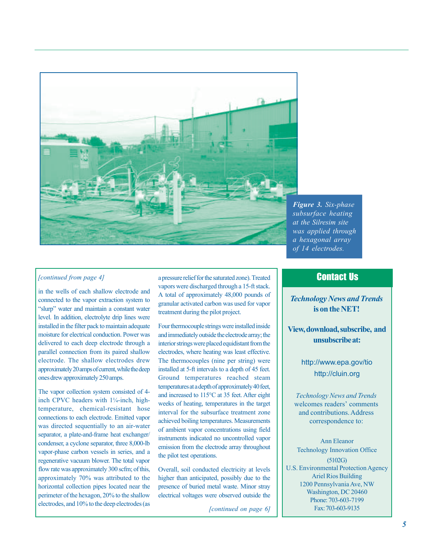

*Figure 3. Six-phase subsurface heating at the Silresim site was applied through a hexagonal array of 14 electrodes.* 

#### *[continued from page 4]*

in the wells of each shallow electrode and connected to the vapor extraction system to "slurp" water and maintain a constant water level. In addition, electrolyte drip lines were installed in the filter pack to maintain adequate moisture for electrical conduction. Power was delivered to each deep electrode through a parallel connection from its paired shallow electrode. The shallow electrodes drew approximately 20 amps of current, while the deep ones drew approximately 250 amps.

The vapor collection system consisted of 4 inch CPVC headers with  $1\frac{1}{4}$ -inch, hightemperature, chemical-resistant hose connections to each electrode. Emitted vapor was directed sequentially to an air-water separator, a plate-and-frame heat exchanger/ condenser, a cyclone separator, three 8,000-lb vapor-phase carbon vessels in series, and a regenerative vacuum blower. The total vapor flow rate was approximately 300 scfm; of this, approximately 70% was attributed to the horizontal collection pipes located near the perimeter of the hexagon, 20% to the shallow electrodes, and 10% to the deep electrodes (as

a pressure relief for the saturated zone). Treated vapors were discharged through a 15-ft stack. A total of approximately 48,000 pounds of granular activated carbon was used for vapor treatment during the pilot project.

Four thermocouple strings were installed inside and immediately outside the electrode array; the interior strings were placed equidistant from the electrodes, where heating was least effective. The thermocouples (nine per string) were installed at 5-ft intervals to a depth of 45 feet. Ground temperatures reached steam temperatures at a depth of approximately 40 feet, and increased to 115°C at 35 feet. After eight weeks of heating, temperatures in the target interval for the subsurface treatment zone achieved boiling temperatures. Measurements of ambient vapor concentrations using field instruments indicated no uncontrolled vapor emission from the electrode array throughout the pilot test operations.

Overall, soil conducted electricity at levels higher than anticipated, possibly due to the presence of buried metal waste. Minor stray electrical voltages were observed outside the

*[continued on page 6]* 

## Contact Us

*Technology News and Trends*  **is on the NET!** 

**View, download, subscribe, and unsubscribe at:** 

> <http://www.epa.gov/tio> <http://cluin.org>

*Technology News and Trends*  welcomes readers' comments and contributions. Address correspondence to:

Ann Eleanor Technology Innovation Office (5102G) U.S. Environmental Protection Agency Ariel Rios Building 1200 Pennsylvania Ave, NW Washington, DC 20460 Phone: 703-603-7199 Fax: 703-603-9135